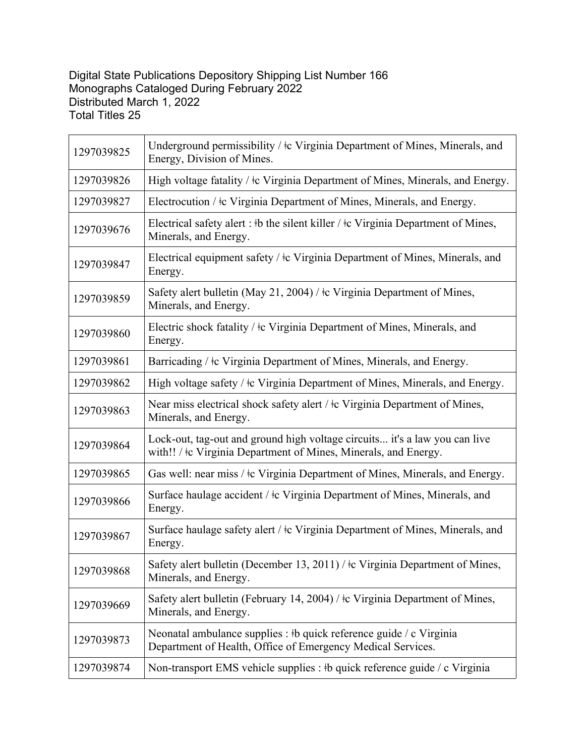## Digital State Publications Depository Shipping List Number 166 Monographs Cataloged During February 2022 Distributed March 1, 2022 Total Titles 25

| 1297039825 | Underground permissibility / $\pm c$ Virginia Department of Mines, Minerals, and<br>Energy, Division of Mines.                                |
|------------|-----------------------------------------------------------------------------------------------------------------------------------------------|
| 1297039826 | High voltage fatality / $\pm c$ Virginia Department of Mines, Minerals, and Energy.                                                           |
| 1297039827 | Electrocution / $\pm c$ Virginia Department of Mines, Minerals, and Energy.                                                                   |
| 1297039676 | Electrical safety alert : #b the silent killer / $\pm c$ Virginia Department of Mines,<br>Minerals, and Energy.                               |
| 1297039847 | Electrical equipment safety / ‡c Virginia Department of Mines, Minerals, and<br>Energy.                                                       |
| 1297039859 | Safety alert bulletin (May 21, 2004) / $\frac{1}{2}$ Virginia Department of Mines,<br>Minerals, and Energy.                                   |
| 1297039860 | Electric shock fatality / $\pm$ Virginia Department of Mines, Minerals, and<br>Energy.                                                        |
| 1297039861 | Barricading / $\pm c$ Virginia Department of Mines, Minerals, and Energy.                                                                     |
| 1297039862 | High voltage safety / ‡c Virginia Department of Mines, Minerals, and Energy.                                                                  |
| 1297039863 | Near miss electrical shock safety alert / ‡c Virginia Department of Mines,<br>Minerals, and Energy.                                           |
| 1297039864 | Lock-out, tag-out and ground high voltage circuits it's a law you can live<br>with!! / ‡c Virginia Department of Mines, Minerals, and Energy. |
| 1297039865 | Gas well: near miss / ‡c Virginia Department of Mines, Minerals, and Energy.                                                                  |
| 1297039866 | Surface haulage accident / $\pm c$ Virginia Department of Mines, Minerals, and<br>Energy.                                                     |
| 1297039867 | Surface haulage safety alert / $\pm c$ Virginia Department of Mines, Minerals, and<br>Energy.                                                 |
| 1297039868 | Safety alert bulletin (December 13, 2011) / $\pm$ Virginia Department of Mines,<br>Minerals, and Energy.                                      |
| 1297039669 | Safety alert bulletin (February 14, 2004) / ‡c Virginia Department of Mines,<br>Minerals, and Energy.                                         |
| 1297039873 | Neonatal ambulance supplies : #b quick reference guide / c Virginia<br>Department of Health, Office of Emergency Medical Services.            |
| 1297039874 | Non-transport EMS vehicle supplies : #b quick reference guide / c Virginia                                                                    |